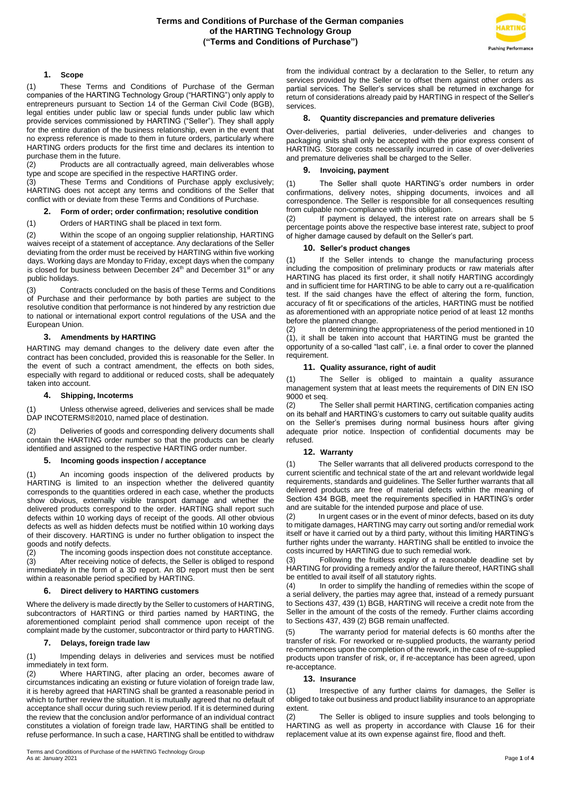

# **1. Scope**

(1) These Terms and Conditions of Purchase of the German companies of the HARTING Technology Group ("HARTING") only apply to entrepreneurs pursuant to Section 14 of the German Civil Code (BGB), legal entities under public law or special funds under public law which provide services commissioned by HARTING ("Seller"). They shall apply for the entire duration of the business relationship, even in the event that no express reference is made to them in future orders, particularly where HARTING orders products for the first time and declares its intention to purchase them in the future.

 $(2)$  Products are all contractually agreed, main deliverables whose type and scope are specified in the respective HARTING order.

(3) These Terms and Conditions of Purchase apply exclusively; HARTING does not accept any terms and conditions of the Seller that conflict with or deviate from these Terms and Conditions of Purchase.

# **2. Form of order; order confirmation; resolutive condition**

(1) Orders of HARTING shall be placed in text form.

(2) Within the scope of an ongoing supplier relationship, HARTING waives receipt of a statement of acceptance. Any declarations of the Seller deviating from the order must be received by HARTING within five working days. Working days are Monday to Friday, except days when the company is closed for business between December 24<sup>th</sup> and December 31<sup>st</sup> or any public holidays.

(3) Contracts concluded on the basis of these Terms and Conditions of Purchase and their performance by both parties are subject to the resolutive condition that performance is not hindered by any restriction due to national or international export control regulations of the USA and the European Union.

### **3. Amendments by HARTING**

HARTING may demand changes to the delivery date even after the contract has been concluded, provided this is reasonable for the Seller. In the event of such a contract amendment, the effects on both sides, especially with regard to additional or reduced costs, shall be adequately taken into account.

#### **4. Shipping, Incoterms**

(1) Unless otherwise agreed, deliveries and services shall be made DAP INCOTERMS®2010, named place of destination.

(2) Deliveries of goods and corresponding delivery documents shall contain the HARTING order number so that the products can be clearly identified and assigned to the respective HARTING order number.

# **5. Incoming goods inspection / acceptance**

(1) An incoming goods inspection of the delivered products by HARTING is limited to an inspection whether the delivered quantity corresponds to the quantities ordered in each case, whether the products show obvious, externally visible transport damage and whether the delivered products correspond to the order. HARTING shall report such defects within 10 working days of receipt of the goods. All other obvious defects as well as hidden defects must be notified within 10 working days of their discovery. HARTING is under no further obligation to inspect the goods and notify defects.

(2) The incoming goods inspection does not constitute acceptance. (3) After receiving notice of defects, the Seller is obliged to respond immediately in the form of a 3D report. An 8D report must then be sent within a reasonable period specified by HARTING.

#### **6. Direct delivery to HARTING customers**

Where the delivery is made directly by the Seller to customers of HARTING, subcontractors of HARTING or third parties named by HARTING, the aforementioned complaint period shall commence upon receipt of the complaint made by the customer, subcontractor or third party to HARTING.

#### **7. Delays, foreign trade law**

(1) Impending delays in deliveries and services must be notified immediately in text form.

(2) Where HARTING, after placing an order, becomes aware of circumstances indicating an existing or future violation of foreign trade law, it is hereby agreed that HARTING shall be granted a reasonable period in which to further review the situation. It is mutually agreed that no default of acceptance shall occur during such review period. If it is determined during the review that the conclusion and/or performance of an individual contract constitutes a violation of foreign trade law, HARTING shall be entitled to refuse performance. In such a case, HARTING shall be entitled to withdraw

from the individual contract by a declaration to the Seller, to return any services provided by the Seller or to offset them against other orders as partial services. The Seller's services shall be returned in exchange for return of considerations already paid by HARTING in respect of the Seller's services.

#### **8. Quantity discrepancies and premature deliveries**

Over-deliveries, partial deliveries, under-deliveries and changes to packaging units shall only be accepted with the prior express consent of HARTING. Storage costs necessarily incurred in case of over-deliveries and premature deliveries shall be charged to the Seller.

# **9. Invoicing, payment**

(1) The Seller shall quote HARTING's order numbers in order confirmations, delivery notes, shipping documents, invoices and all correspondence. The Seller is responsible for all consequences resulting from culpable non-compliance with this obligation.

(2) If payment is delayed, the interest rate on arrears shall be 5 percentage points above the respective base interest rate, subject to proof of higher damage caused by default on the Seller's part.

# **10. Seller's product changes**

(1) If the Seller intends to change the manufacturing process including the composition of preliminary products or raw materials after HARTING has placed its first order, it shall notify HARTING accordingly and in sufficient time for HARTING to be able to carry out a re-qualification test. If the said changes have the effect of altering the form, function, accuracy of fit or specifications of the articles, HARTING must be notified as aforementioned with an appropriate notice period of at least 12 months before the planned change.

(2) In determining the appropriateness of the period mentioned in 10 (1), it shall be taken into account that HARTING must be granted the opportunity of a so-called "last call", i.e. a final order to cover the planned requirement.

#### **11. Quality assurance, right of audit**

(1) The Seller is obliged to maintain a quality assurance management system that at least meets the requirements of DIN EN ISO 9000 et seq.

(2) The Seller shall permit HARTING, certification companies acting on its behalf and HARTING's customers to carry out suitable quality audits on the Seller's premises during normal business hours after giving adequate prior notice. Inspection of confidential documents may be refused.

### **12. Warranty**

(1) The Seller warrants that all delivered products correspond to the current scientific and technical state of the art and relevant worldwide legal requirements, standards and guidelines. The Seller further warrants that all delivered products are free of material defects within the meaning of Section 434 BGB, meet the requirements specified in HARTING's order and are suitable for the intended purpose and place of use.

(2) In urgent cases or in the event of minor defects, based on its duty to mitigate damages, HARTING may carry out sorting and/or remedial work itself or have it carried out by a third party, without this limiting HARTING's further rights under the warranty. HARTING shall be entitled to invoice the costs incurred by HARTING due to such remedial work.

(3) Following the fruitless expiry of a reasonable deadline set by HARTING for providing a remedy and/or the failure thereof, HARTING shall be entitled to avail itself of all statutory rights.<br>(4) In order to simplify the handling of

In order to simplify the handling of remedies within the scope of a serial delivery, the parties may agree that, instead of a remedy pursuant to Sections 437, 439 (1) BGB, HARTING will receive a credit note from the Seller in the amount of the costs of the remedy. Further claims according to Sections 437, 439 (2) BGB remain unaffected.

(5) The warranty period for material defects is 60 months after the transfer of risk. For reworked or re-supplied products, the warranty period re-commences upon the completion of the rework, in the case of re-supplied products upon transfer of risk, or, if re-acceptance has been agreed, upon re-acceptance.

## **13. Insurance**

(1) Irrespective of any further claims for damages, the Seller is obliged to take out business and product liability insurance to an appropriate extent.

(2) The Seller is obliged to insure supplies and tools belonging to HARTING as well as property in accordance with Clause 16 for their replacement value at its own expense against fire, flood and theft.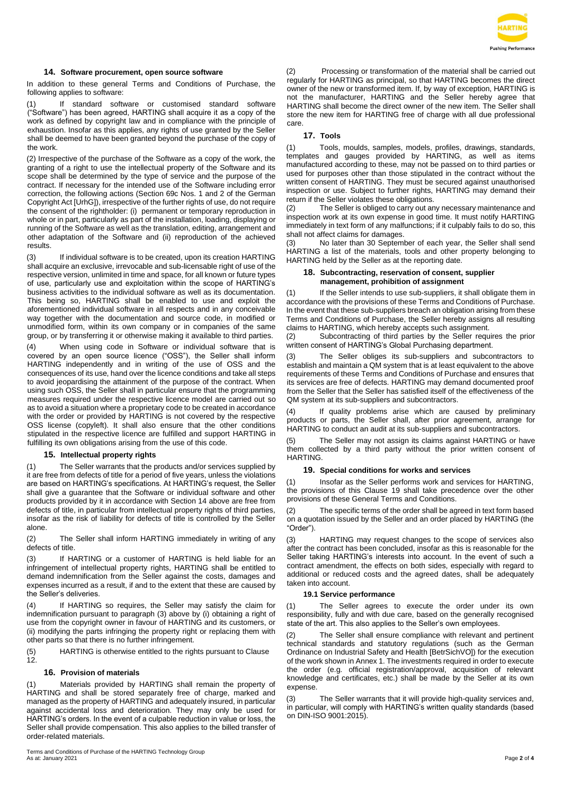

# **14. Software procurement, open source software**

In addition to these general Terms and Conditions of Purchase, the following applies to software:

(1) If standard software or customised standard software ("Software") has been agreed, HARTING shall acquire it as a copy of the work as defined by copyright law and in compliance with the principle of exhaustion. Insofar as this applies, any rights of use granted by the Seller shall be deemed to have been granted beyond the purchase of the copy of the work.

(2) Irrespective of the purchase of the Software as a copy of the work, the granting of a right to use the intellectual property of the Software and its scope shall be determined by the type of service and the purpose of the contract. If necessary for the intended use of the Software including error correction, the following actions (Section 69c Nos. 1 and 2 of the German Copyright Act [UrhG]), irrespective of the further rights of use, do not require the consent of the rightholder: (i) permanent or temporary reproduction in whole or in part, particularly as part of the installation, loading, displaying or running of the Software as well as the translation, editing, arrangement and other adaptation of the Software and (ii) reproduction of the achieved results.

(3) If individual software is to be created, upon its creation HARTING shall acquire an exclusive, irrevocable and sub-licensable right of use of the respective version, unlimited in time and space, for all known or future types of use, particularly use and exploitation within the scope of HARTING's business activities to the individual software as well as its documentation. This being so, HARTING shall be enabled to use and exploit the aforementioned individual software in all respects and in any conceivable way together with the documentation and source code, in modified or unmodified form, within its own company or in companies of the same group, or by transferring it or otherwise making it available to third parties.

(4) When using code in Software or individual software that is covered by an open source licence ("OSS"), the Seller shall inform HARTING independently and in writing of the use of OSS and the consequences of its use, hand over the licence conditions and take all steps to avoid jeopardising the attainment of the purpose of the contract. When using such OSS, the Seller shall in particular ensure that the programming measures required under the respective licence model are carried out so as to avoid a situation where a proprietary code to be created in accordance with the order or provided by HARTING is not covered by the respective OSS license (copyleft). It shall also ensure that the other conditions stipulated in the respective licence are fulfilled and support HARTING in fulfilling its own obligations arising from the use of this code.

# **15. Intellectual property rights**

(1) The Seller warrants that the products and/or services supplied by it are free from defects of title for a period of five years, unless the violations are based on HARTING's specifications. At HARTING's request, the Seller shall give a guarantee that the Software or individual software and other products provided by it in accordance with Section 14 above are free from defects of title, in particular from intellectual property rights of third parties, insofar as the risk of liability for defects of title is controlled by the Seller alone.

(2) The Seller shall inform HARTING immediately in writing of any defects of title.

(3) If HARTING or a customer of HARTING is held liable for an infringement of intellectual property rights, HARTING shall be entitled to demand indemnification from the Seller against the costs, damages and expenses incurred as a result, if and to the extent that these are caused by the Seller's deliveries.

If HARTING so requires, the Seller may satisfy the claim for indemnification pursuant to paragraph (3) above by (i) obtaining a right of use from the copyright owner in favour of HARTING and its customers, or (ii) modifying the parts infringing the property right or replacing them with other parts so that there is no further infringement.

(5) HARTING is otherwise entitled to the rights pursuant to Clause 12.

## **16. Provision of materials**

(1) Materials provided by HARTING shall remain the property of HARTING and shall be stored separately free of charge, marked and managed as the property of HARTING and adequately insured, in particular against accidental loss and deterioration. They may only be used for HARTING's orders. In the event of a culpable reduction in value or loss, the Seller shall provide compensation. This also applies to the billed transfer of order-related materials.

(2) Processing or transformation of the material shall be carried out regularly for HARTING as principal, so that HARTING becomes the direct owner of the new or transformed item. If, by way of exception, HARTING is not the manufacturer, HARTING and the Seller hereby agree that HARTING shall become the direct owner of the new item. The Seller shall store the new item for HARTING free of charge with all due professional care.

# **17. Tools**

(1) Tools, moulds, samples, models, profiles, drawings, standards, templates and gauges provided by HARTING, as well as items manufactured according to these, may not be passed on to third parties or used for purposes other than those stipulated in the contract without the written consent of HARTING. They must be secured against unauthorised inspection or use. Subject to further rights, HARTING may demand their return if the Seller violates these obligations.

(2) The Seller is obliged to carry out any necessary maintenance and inspection work at its own expense in good time. It must notify HARTING immediately in text form of any malfunctions; if it culpably fails to do so, this shall not affect claims for damages.

(3) No later than 30 September of each year, the Seller shall send HARTING a list of the materials, tools and other property belonging to HARTING held by the Seller as at the reporting date.

### **18. Subcontracting, reservation of consent, supplier management, prohibition of assignment**

(1) If the Seller intends to use sub-suppliers, it shall obligate them in accordance with the provisions of these Terms and Conditions of Purchase. In the event that these sub-suppliers breach an obligation arising from these Terms and Conditions of Purchase, the Seller hereby assigns all resulting claims to HARTING, which hereby accepts such assignment.

(2) Subcontracting of third parties by the Seller requires the prior written consent of HARTING's Global Purchasing department.

(3) The Seller obliges its sub-suppliers and subcontractors to establish and maintain a QM system that is at least equivalent to the above requirements of these Terms and Conditions of Purchase and ensures that its services are free of defects. HARTING may demand documented proof from the Seller that the Seller has satisfied itself of the effectiveness of the QM system at its sub-suppliers and subcontractors.

(4) If quality problems arise which are caused by preliminary products or parts, the Seller shall, after prior agreement, arrange for HARTING to conduct an audit at its sub-suppliers and subcontractors.

(5) The Seller may not assign its claims against HARTING or have them collected by a third party without the prior written consent of HARTING.

## **19. Special conditions for works and services**

(1) Insofar as the Seller performs work and services for HARTING, the provisions of this Clause 19 shall take precedence over the other provisions of these General Terms and Conditions.

(2) The specific terms of the order shall be agreed in text form based on a quotation issued by the Seller and an order placed by HARTING (the "Order").

(3) HARTING may request changes to the scope of services also after the contract has been concluded, insofar as this is reasonable for the Seller taking HARTING's interests into account. In the event of such a contract amendment, the effects on both sides, especially with regard to additional or reduced costs and the agreed dates, shall be adequately taken into account.

#### **19.1 Service performance**

(1) The Seller agrees to execute the order under its own responsibility, fully and with due care, based on the generally recognised state of the art. This also applies to the Seller's own employees.

(2) The Seller shall ensure compliance with relevant and pertinent technical standards and statutory regulations (such as the German Ordinance on Industrial Safety and Health [BetrSichVO]) for the execution of the work shown in Annex 1. The investments required in order to execute the order (e.g. official registration/approval, acquisition of relevant knowledge and certificates, etc.) shall be made by the Seller at its own expense.

The Seller warrants that it will provide high-quality services and, in particular, will comply with HARTING's written quality standards (based on DIN-ISO 9001:2015).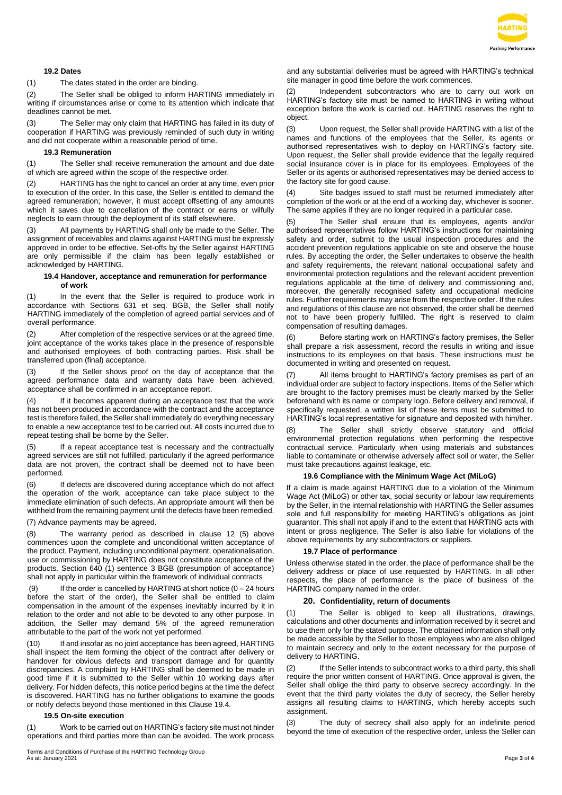

# **19.2 Dates**

(1) The dates stated in the order are binding.

(2) The Seller shall be obliged to inform HARTING immediately in writing if circumstances arise or come to its attention which indicate that deadlines cannot be met.

The Seller may only claim that HARTING has failed in its duty of cooperation if HARTING was previously reminded of such duty in writing and did not cooperate within a reasonable period of time.

# **19.3 Remuneration**

(1) The Seller shall receive remuneration the amount and due date of which are agreed within the scope of the respective order.

(2) HARTING has the right to cancel an order at any time, even prior to execution of the order. In this case, the Seller is entitled to demand the agreed remuneration; however, it must accept offsetting of any amounts which it saves due to cancellation of the contract or earns or wilfully neglects to earn through the deployment of its staff elsewhere.

(3) All payments by HARTING shall only be made to the Seller. The assignment of receivables and claims against HARTING must be expressly approved in order to be effective. Set-offs by the Seller against HARTING are only permissible if the claim has been legally established or acknowledged by HARTING.

### **19.4 Handover, acceptance and remuneration for performance of work**

(1) In the event that the Seller is required to produce work in accordance with Sections 631 et seq. BGB, the Seller shall notify HARTING immediately of the completion of agreed partial services and of overall performance.

(2) After completion of the respective services or at the agreed time, joint acceptance of the works takes place in the presence of responsible and authorised employees of both contracting parties. Risk shall be transferred upon (final) acceptance.

(3) If the Seller shows proof on the day of acceptance that the agreed performance data and warranty data have been achieved, acceptance shall be confirmed in an acceptance report.

(4) If it becomes apparent during an acceptance test that the work has not been produced in accordance with the contract and the acceptance test is therefore failed, the Seller shall immediately do everything necessary to enable a new acceptance test to be carried out. All costs incurred due to repeat testing shall be borne by the Seller.

(5) If a repeat acceptance test is necessary and the contractually agreed services are still not fulfilled, particularly if the agreed performance data are not proven, the contract shall be deemed not to have been performed.

(6) If defects are discovered during acceptance which do not affect the operation of the work, acceptance can take place subject to the immediate elimination of such defects. An appropriate amount will then be withheld from the remaining payment until the defects have been remedied.

# (7) Advance payments may be agreed.

(8) The warranty period as described in clause 12 (5) above commences upon the complete and unconditional written acceptance of the product. Payment, including unconditional payment, operationalisation, use or commissioning by HARTING does not constitute acceptance of the products. Section 640 (1) sentence 3 BGB (presumption of acceptance) shall not apply in particular within the framework of individual contracts

If the order is cancelled by HARTING at short notice  $(0 - 24$  hours before the start of the order), the Seller shall be entitled to claim compensation in the amount of the expenses inevitably incurred by it in relation to the order and not able to be devoted to any other purpose. In addition, the Seller may demand 5% of the agreed remuneration attributable to the part of the work not yet performed.

(10) If and insofar as no joint acceptance has been agreed, HARTING shall inspect the item forming the object of the contract after delivery or handover for obvious defects and transport damage and for quantity discrepancies. A complaint by HARTING shall be deemed to be made in good time if it is submitted to the Seller within 10 working days after delivery. For hidden defects, this notice period begins at the time the defect is discovered. HARTING has no further obligations to examine the goods or notify defects beyond those mentioned in this Clause 19.4.

### **19.5 On-site execution**

(1) Work to be carried out on HARTING's factory site must not hinder operations and third parties more than can be avoided. The work process

and any substantial deliveries must be agreed with HARTING's technical site manager in good time before the work commences.

Independent subcontractors who are to carry out work on HARTING's factory site must be named to HARTING in writing without exception before the work is carried out. HARTING reserves the right to object.

(3) Upon request, the Seller shall provide HARTING with a list of the names and functions of the employees that the Seller, its agents or authorised representatives wish to deploy on HARTING's factory site. Upon request, the Seller shall provide evidence that the legally required social insurance cover is in place for its employees. Employees of the Seller or its agents or authorised representatives may be denied access to the factory site for good cause.

(4) Site badges issued to staff must be returned immediately after completion of the work or at the end of a working day, whichever is sooner. The same applies if they are no longer required in a particular case.

The Seller shall ensure that its employees, agents and/or authorised representatives follow HARTING's instructions for maintaining safety and order, submit to the usual inspection procedures and the accident prevention regulations applicable on site and observe the house rules. By accepting the order, the Seller undertakes to observe the health and safety requirements, the relevant national occupational safety and environmental protection regulations and the relevant accident prevention regulations applicable at the time of delivery and commissioning and, moreover, the generally recognised safety and occupational medicine rules. Further requirements may arise from the respective order. If the rules and regulations of this clause are not observed, the order shall be deemed not to have been properly fulfilled. The right is reserved to claim compensation of resulting damages.

(6) Before starting work on HARTING's factory premises, the Seller shall prepare a risk assessment, record the results in writing and issue instructions to its employees on that basis. These instructions must be documented in writing and presented on request.

All items brought to HARTING's factory premises as part of an individual order are subject to factory inspections. Items of the Seller which are brought to the factory premises must be clearly marked by the Seller beforehand with its name or company logo. Before delivery and removal, if specifically requested, a written list of these items must be submitted to HARTING's local representative for signature and deposited with him/her.

(8) The Seller shall strictly observe statutory and official environmental protection regulations when performing the respective contractual service. Particularly when using materials and substances liable to contaminate or otherwise adversely affect soil or water, the Seller must take precautions against leakage, etc.

### **19.6 Compliance with the Minimum Wage Act (MiLoG)**

If a claim is made against HARTING due to a violation of the Minimum Wage Act (MiLoG) or other tax, social security or labour law requirements by the Seller, in the internal relationship with HARTING the Seller assumes sole and full responsibility for meeting HARTING's obligations as joint guarantor. This shall not apply if and to the extent that HARTING acts with intent or gross negligence. The Seller is also liable for violations of the above requirements by any subcontractors or suppliers.

### **19.7 Place of performance**

Unless otherwise stated in the order, the place of performance shall be the delivery address or place of use requested by HARTING. In all other respects, the place of performance is the place of business of the HARTING company named in the order.

#### **20. Confidentiality, return of documents**

(1) The Seller is obliged to keep all illustrations, drawings, calculations and other documents and information received by it secret and to use them only for the stated purpose. The obtained information shall only be made accessible by the Seller to those employees who are also obliged to maintain secrecy and only to the extent necessary for the purpose of delivery to HARTING.

(2) If the Seller intends to subcontract works to a third party, this shall require the prior written consent of HARTING. Once approval is given, the Seller shall oblige the third party to observe secrecy accordingly. In the event that the third party violates the duty of secrecy, the Seller hereby assigns all resulting claims to HARTING, which hereby accepts such assignment.

(3) The duty of secrecy shall also apply for an indefinite period beyond the time of execution of the respective order, unless the Seller can